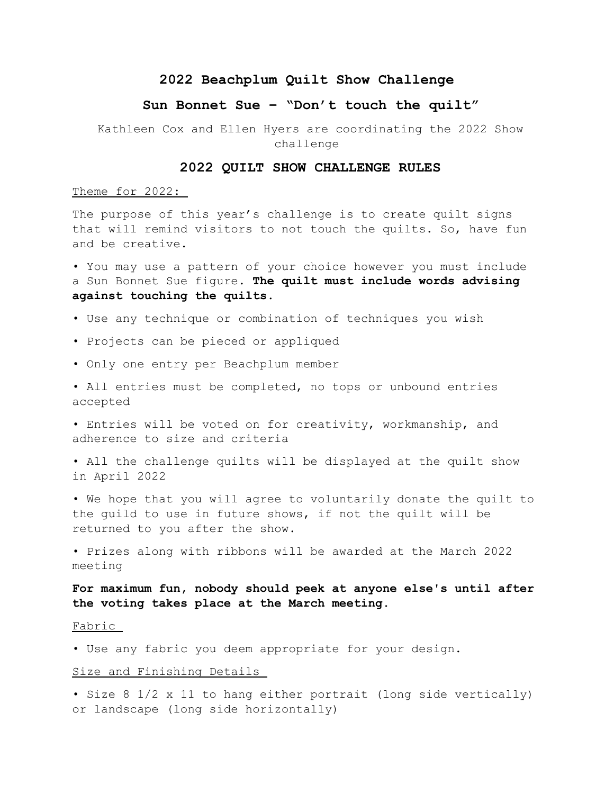## **2022 Beachplum Quilt Show Challenge**

# **Sun Bonnet Sue – "Don't touch the quilt"**

 Kathleen Cox and Ellen Hyers are coordinating the 2022 Show challenge

#### **2022 QUILT SHOW CHALLENGE RULES**

Theme for 2022:

The purpose of this year's challenge is to create quilt signs that will remind visitors to not touch the quilts. So, have fun and be creative.

• You may use a pattern of your choice however you must include a Sun Bonnet Sue figure. **The quilt must include words advising against touching the quilts**.

- Use any technique or combination of techniques you wish
- Projects can be pieced or appliqued
- Only one entry per Beachplum member
- All entries must be completed, no tops or unbound entries accepted
- Entries will be voted on for creativity, workmanship, and adherence to size and criteria
- All the challenge quilts will be displayed at the quilt show in April 2022

• We hope that you will agree to voluntarily donate the quilt to the guild to use in future shows, if not the quilt will be returned to you after the show.

• Prizes along with ribbons will be awarded at the March 2022 meeting

**For maximum fun, nobody should peek at anyone else's until after the voting takes place at the March meeting.**

Fabric

• Use any fabric you deem appropriate for your design.

#### Size and Finishing Details

• Size 8 1/2 x 11 to hang either portrait (long side vertically) or landscape (long side horizontally)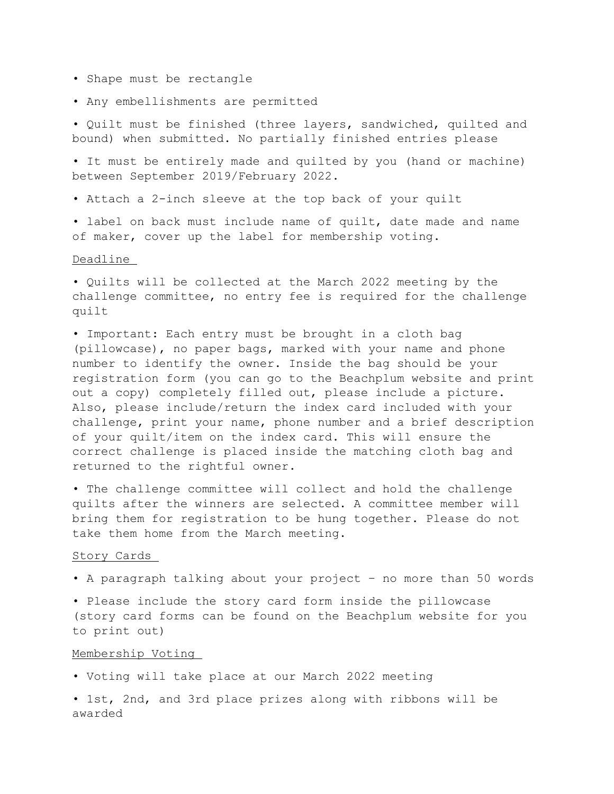- Shape must be rectangle
- Any embellishments are permitted

• Quilt must be finished (three layers, sandwiched, quilted and bound) when submitted. No partially finished entries please

• It must be entirely made and quilted by you (hand or machine) between September 2019/February 2022.

• Attach a 2-inch sleeve at the top back of your quilt

• label on back must include name of quilt, date made and name of maker, cover up the label for membership voting.

### Deadline

• Quilts will be collected at the March 2022 meeting by the challenge committee, no entry fee is required for the challenge quilt

• Important: Each entry must be brought in a cloth bag (pillowcase), no paper bags, marked with your name and phone number to identify the owner. Inside the bag should be your registration form (you can go to the Beachplum website and print out a copy) completely filled out, please include a picture. Also, please include/return the index card included with your challenge, print your name, phone number and a brief description of your quilt/item on the index card. This will ensure the correct challenge is placed inside the matching cloth bag and returned to the rightful owner.

• The challenge committee will collect and hold the challenge quilts after the winners are selected. A committee member will bring them for registration to be hung together. Please do not take them home from the March meeting.

### Story Cards

• A paragraph talking about your project – no more than 50 words

• Please include the story card form inside the pillowcase (story card forms can be found on the Beachplum website for you to print out)

#### Membership Voting

• Voting will take place at our March 2022 meeting

• 1st, 2nd, and 3rd place prizes along with ribbons will be awarded